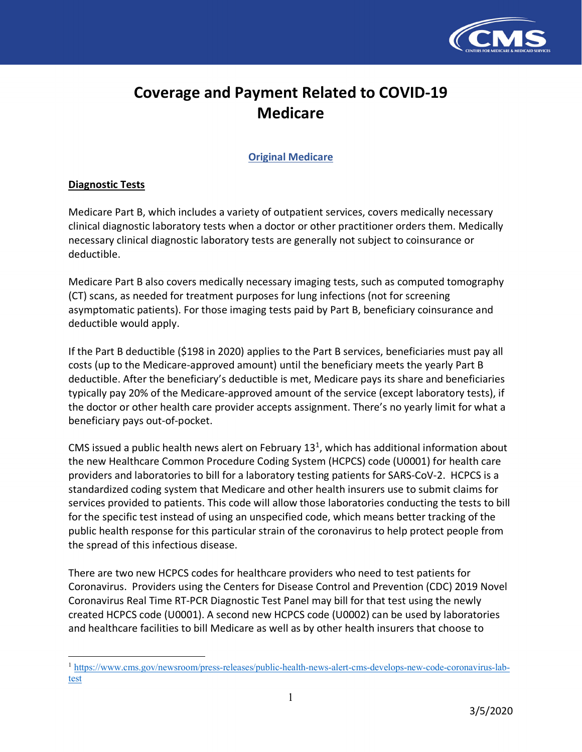

# **Coverage and Payment Related to COVID-19 Medicare**

**Original Medicare** 

## **Diagnostic Tests**

 $\overline{a}$ 

 Medicare Part B, which includes a variety of outpatient services, covers medically necessary clinical diagnostic laboratory tests when a doctor or other practitioner orders them. Medically necessary clinical diagnostic laboratory tests are generally not subject to coinsurance or deductible.

 Medicare Part B also covers medically necessary imaging tests, such as computed tomography (CT) scans, as needed for treatment purposes for lung infections (not for screening asymptomatic patients). For those imaging tests paid by Part B, beneficiary coinsurance and deductible would apply.

 If the Part B deductible (\$198 in 2020) applies to the Part B services, beneficiaries must pay all costs (up to the Medicare-approved amount) until the beneficiary meets the yearly Part B deductible. After the beneficiary's deductible is met, Medicare pays its share and beneficiaries typically pay 20% of the Medicare-approved amount of the service (except laboratory tests), if the doctor or other health care provider accepts assignment. There's no yearly limit for what a beneficiary pays out-of-pocket.

CMS issued a public health news alert on February  $13<sup>1</sup>$ , which has additional information about the new Healthcare Common Procedure Coding System (HCPCS) code (U0001) for health care providers and laboratories to bill for a laboratory testing patients for SARS-CoV-2. HCPCS is a standardized coding system that Medicare and other health insurers use to submit claims for services provided to patients. This code will allow those laboratories conducting the tests to bill for the specific test instead of using an unspecified code, which means better tracking of the public health response for this particular strain of the coronavirus to help protect people from the spread of this infectious disease.

 There are two new HCPCS codes for healthcare providers who need to test patients for Coronavirus. Providers using the Centers for Disease Control and Prevention (CDC) 2019 Novel Coronavirus Real Time RT-PCR Diagnostic Test Panel may bill for that test using the newly created HCPCS code (U0001). A second new HCPCS code (U0002) can be used by laboratories and healthcare facilities to bill Medicare as well as by other health insurers that choose to

[<sup>1</sup> https://www.cms.gov/newsroom/press-releases/public-health-news-alert-cms-develops-new-code-coronavirus-lab](https://www.cms.gov/newsroom/press-releases/public-health-news-alert-cms-develops-new-code-coronavirus-lab-test)test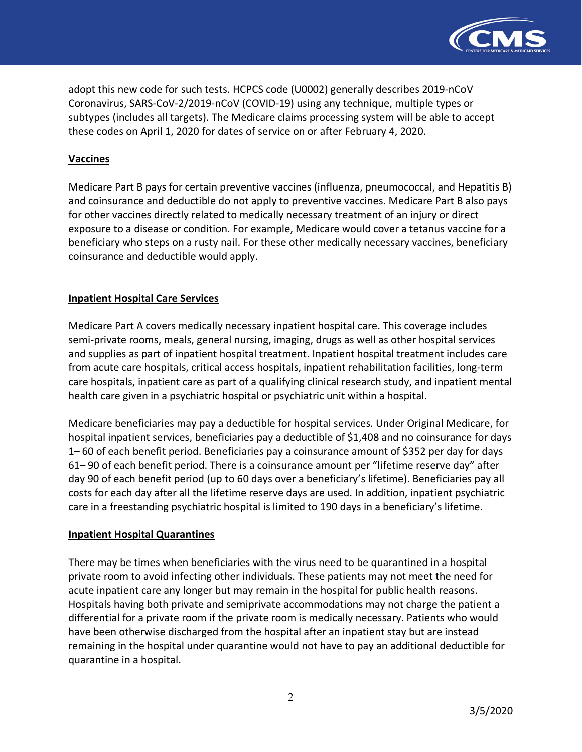

 adopt this new code for such tests. HCPCS code (U0002) generally describes 2019-nCoV Coronavirus, SARS-CoV-2/2019-nCoV (COVID-19) using any technique, multiple types or subtypes (includes all targets). The Medicare claims processing system will be able to accept these codes on April 1, 2020 for dates of service on or after February 4, 2020.

## **Vaccines**

 Medicare Part B pays for certain preventive vaccines (influenza, pneumococcal, and Hepatitis B) and coinsurance and deductible do not apply to preventive vaccines. Medicare Part B also pays for other vaccines directly related to medically necessary treatment of an injury or direct exposure to a disease or condition. For example, Medicare would cover a tetanus vaccine for a beneficiary who steps on a rusty nail. For these other medically necessary vaccines, beneficiary coinsurance and deductible would apply.

## **Inpatient Hospital Care Services**

 Medicare Part A covers medically necessary inpatient hospital care. This coverage includes semi-private rooms, meals, general nursing, imaging, drugs as well as other hospital services and supplies as part of inpatient hospital treatment. Inpatient hospital treatment includes care from acute care hospitals, critical access hospitals, inpatient rehabilitation facilities, long-term care hospitals, inpatient care as part of a qualifying clinical research study, and inpatient mental health care given in a psychiatric hospital or psychiatric unit within a hospital.

 Medicare beneficiaries may pay a deductible for hospital services. Under Original Medicare, for hospital inpatient services, beneficiaries pay a deductible of \$1,408 and no coinsurance for days 1– 60 of each benefit period. Beneficiaries pay a coinsurance amount of \$352 per day for days 61– 90 of each benefit period. There is a coinsurance amount per "lifetime reserve day" after day 90 of each benefit period (up to 60 days over a beneficiary's lifetime). Beneficiaries pay all costs for each day after all the lifetime reserve days are used. In addition, inpatient psychiatric care in a freestanding psychiatric hospital is limited to 190 days in a beneficiary's lifetime.

#### **Inpatient Hospital Quarantines**

 There may be times when beneficiaries with the virus need to be quarantined in a hospital private room to avoid infecting other individuals. These patients may not meet the need for acute inpatient care any longer but may remain in the hospital for public health reasons. Hospitals having both private and semiprivate accommodations may not charge the patient a differential for a private room if the private room is medically necessary. Patients who would have been otherwise discharged from the hospital after an inpatient stay but are instead remaining in the hospital under quarantine would not have to pay an additional deductible for quarantine in a hospital.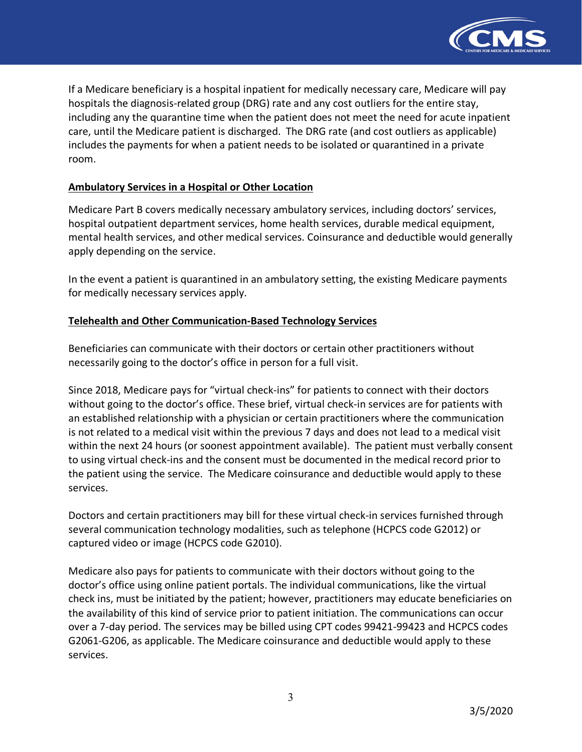

 If a Medicare beneficiary is a hospital inpatient for medically necessary care, Medicare will pay hospitals the diagnosis-related group (DRG) rate and any cost outliers for the entire stay, including any the quarantine time when the patient does not meet the need for acute inpatient care, until the Medicare patient is discharged. The DRG rate (and cost outliers as applicable) includes the payments for when a patient needs to be isolated or quarantined in a private room.

#### **Ambulatory Services in a Hospital or Other Location**

 Medicare Part B covers medically necessary ambulatory services, including doctors' services, hospital outpatient department services, home health services, durable medical equipment, mental health services, and other medical services. Coinsurance and deductible would generally apply depending on the service.

 In the event a patient is quarantined in an ambulatory setting, the existing Medicare payments for medically necessary services apply.

## **Telehealth and Other Communication-Based Technology Services**

 Beneficiaries can communicate with their doctors or certain other practitioners without necessarily going to the doctor's office in person for a full visit.

 Since 2018, Medicare pays for "virtual check-ins" for patients to connect with their doctors without going to the doctor's office. These brief, virtual check-in services are for patients with an established relationship with a physician or certain practitioners where the communication is not related to a medical visit within the previous 7 days and does not lead to a medical visit within the next 24 hours (or soonest appointment available). The patient must verbally consent to using virtual check-ins and the consent must be documented in the medical record prior to the patient using the service. The Medicare coinsurance and deductible would apply to these services.

 Doctors and certain practitioners may bill for these virtual check-in services furnished through several communication technology modalities, such as telephone (HCPCS code G2012) or captured video or image (HCPCS code G2010).

 Medicare also pays for patients to communicate with their doctors without going to the doctor's office using online patient portals. The individual communications, like the virtual check ins, must be initiated by the patient; however, practitioners may educate beneficiaries on the availability of this kind of service prior to patient initiation. The communications can occur over a 7-day period. The services may be billed using CPT codes 99421-99423 and HCPCS codes G2061-G206, as applicable. The Medicare coinsurance and deductible would apply to these services.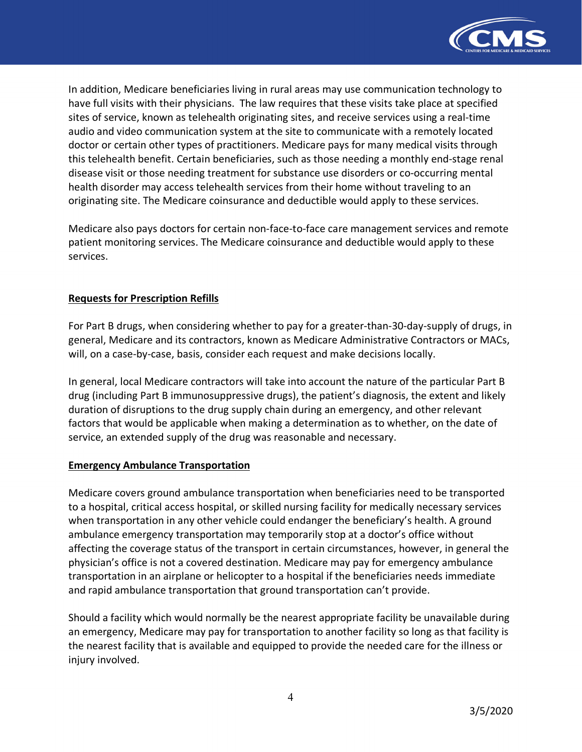

 In addition, Medicare beneficiaries living in rural areas may use communication technology to have full visits with their physicians. The law requires that these visits take place at specified sites of service, known as telehealth originating sites, and receive services using a real-time audio and video communication system at the site to communicate with a remotely located doctor or certain other types of practitioners. Medicare pays for many medical visits through this telehealth benefit. Certain beneficiaries, such as those needing a monthly end-stage renal disease visit or those needing treatment for substance use disorders or co-occurring mental health disorder may access telehealth services from their home without traveling to an originating site. The Medicare coinsurance and deductible would apply to these services.

 Medicare also pays doctors for certain non-face-to-face care management services and remote patient monitoring services. The Medicare coinsurance and deductible would apply to these services.

## **Requests for Prescription Refills**

 For Part B drugs, when considering whether to pay for a greater-than-30-day-supply of drugs, in general, Medicare and its contractors, known as Medicare Administrative Contractors or MACs, will, on a case-by-case, basis, consider each request and make decisions locally.

 In general, local Medicare contractors will take into account the nature of the particular Part B drug (including Part B immunosuppressive drugs), the patient's diagnosis, the extent and likely duration of disruptions to the drug supply chain during an emergency, and other relevant factors that would be applicable when making a determination as to whether, on the date of service, an extended supply of the drug was reasonable and necessary.

#### **Emergency Ambulance Transportation**

 Medicare covers ground ambulance transportation when beneficiaries need to be transported to a hospital, critical access hospital, or skilled nursing facility for medically necessary services when transportation in any other vehicle could endanger the beneficiary's health. A ground ambulance emergency transportation may temporarily stop at a doctor's office without affecting the coverage status of the transport in certain circumstances, however, in general the physician's office is not a covered destination. Medicare may pay for emergency ambulance transportation in an airplane or helicopter to a hospital if the beneficiaries needs immediate and rapid ambulance transportation that ground transportation can't provide.

 Should a facility which would normally be the nearest appropriate facility be unavailable during an emergency, Medicare may pay for transportation to another facility so long as that facility is the nearest facility that is available and equipped to provide the needed care for the illness or injury involved.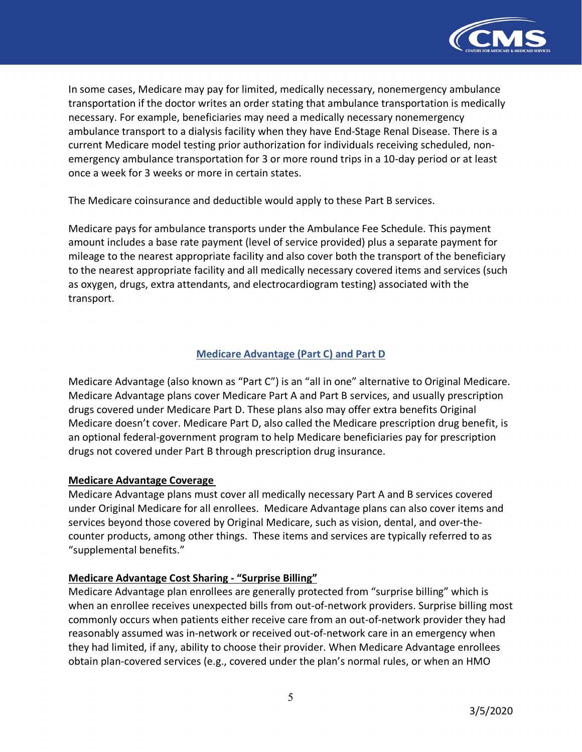

 In some cases, Medicare may pay for limited, medically necessary, nonemergency ambulance transportation if the doctor writes an order stating that ambulance transportation is medically necessary. For example, beneficiaries may need a medically necessary nonemergency ambulance transport to a dialysis facility when they have End-Stage Renal Disease. There is a current Medicare model testing prior authorization for individuals receiving scheduled, non- emergency ambulance transportation for 3 or more round trips in a 10-day period or at least once a week for 3 weeks or more in certain states.

The Medicare coinsurance and deductible would apply to these Part B services.

 Medicare pays for ambulance transports under the Ambulance Fee Schedule. This payment amount includes a base rate payment (level of service provided) plus a separate payment for mileage to the nearest appropriate facility and also cover both the transport of the beneficiary to the nearest appropriate facility and all medically necessary covered items and services (such as oxygen, drugs, extra attendants, and electrocardiogram testing) associated with the transport.

# **Medicare Advantage (Part C) and Part D**

 Medicare Advantage (also known as "Part C") is an "all in one" alternative to Original Medicare. Medicare Advantage plans cover Medicare Part A and Part B services, and usually prescription drugs covered under Medicare Part D. These plans also may offer extra benefits Original Medicare doesn't cover. Medicare Part D, also called the Medicare prescription drug benefit, is an optional federal-government program to help Medicare beneficiaries pay for prescription drugs not covered under Part B through prescription drug insurance.

# **Medicare Advantage Coverage**

 Medicare Advantage plans must cover all medically necessary Part A and B services covered under Original Medicare for all enrollees. Medicare Advantage plans can also cover items and services beyond those covered by Original Medicare, such as vision, dental, and over-the- counter products, among other things. These items and services are typically referred to as "supplemental benefits."

# **Medicare Advantage Cost Sharing - "Surprise Billing"**

 Medicare Advantage plan enrollees are generally protected from "surprise billing" which is when an enrollee receives unexpected bills from out-of-network providers. Surprise billing most commonly occurs when patients either receive care from an out-of-network provider they had reasonably assumed was in-network or received out-of-network care in an emergency when they had limited, if any, ability to choose their provider. When Medicare Advantage enrollees obtain plan-covered services (e.g., covered under the plan's normal rules, or when an HMO